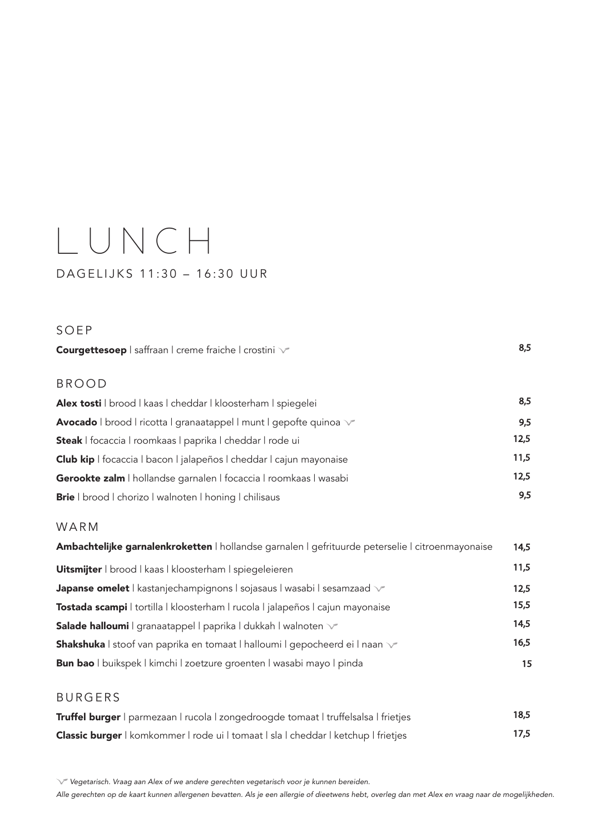# LUNCH DAGELIJKS 11:30 – 16:30 UUR

#### SOEP

Courgettesoep | saffraan | creme fraiche | crostini  $\sqrt{2}$ BROOD Alex tosti | brood | kaas | cheddar | kloosterham | spiegelei 8,5 Avocado | brood | ricotta | granaatappel | munt | gepofte quinoa  $\sqrt{}$ Steak | focaccia | roomkaas | paprika | cheddar | rode ui 12,5 Club kip | focaccia | bacon | jalapeños | cheddar | cajun mayonaise 11,5 Gerookte zalm | hollandse garnalen | focaccia | roomkaas | wasabi 12,5

Brie | brood | chorizo | walnoten | honing | chilisaus 9,5

# WARM

| Ambachtelijke garnalenkroketten   hollandse garnalen   gefrituurde peterselie   citroenmayonaise | 14,5 |
|--------------------------------------------------------------------------------------------------|------|
| <b>Uitsmijter</b>   brood   kaas   kloosterham   spiegeleieren                                   | 11,5 |
| Japanse omelet   kastanjechampignons   sojasaus   wasabi   sesamzaad $\sqrt{ }$                  | 12.5 |
| Tostada scampi   tortilla   kloosterham   rucola   jalapeños   cajun mayonaise                   | 15,5 |
| <b>Salade halloumi</b>   granaatappel   paprika   dukkah   walnoten $\vee$                       | 14,5 |
| <b>Shakshuka</b> I stoof van paprika en tomaat I halloumi I gepocheerd ei I naan v               | 16,5 |
| Bun bao   buikspek   kimchi   zoetzure groenten   wasabi mayo   pinda                            | 15   |

## BURGERS

| Truffel burger   parmezaan   rucola   zongedroogde tomaat   truffelsalsa   frietjes | 18,5 |
|-------------------------------------------------------------------------------------|------|
| Classic burger   komkommer   rode ui   tomaat   sla   cheddar   ketchup   frietjes  | 17.5 |

 *Vegetarisch. Vraag aan Alex of we andere gerechten vegetarisch voor je kunnen bereiden.*

*Alle gerechten op de kaart kunnen allergenen bevatten. Als je een allergie of dieetwens hebt, overleg dan met Alex en vraag naar de mogelijkheden.*